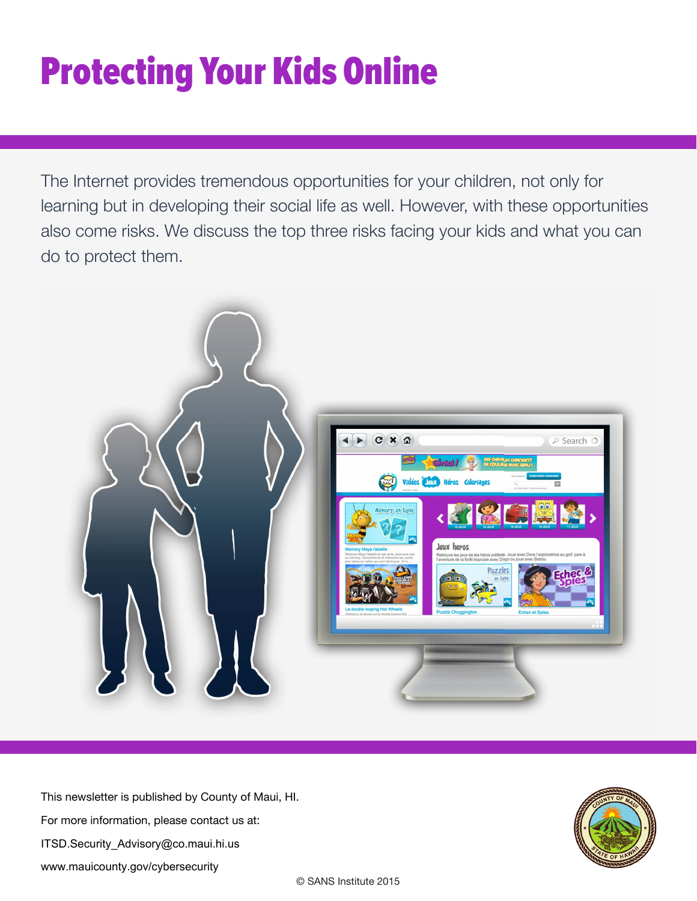## Protecting Your Kids Online

The Internet provides tremendous opportunities for your children, not only for learning but in developing their social life as well. However, with these opportunities also come risks. We discuss the top three risks facing your kids and what you can do to protect them.



This newsletter is published by County of Maui, HI. For more information, please contact us at: ITSD.Security\_Advisory@co.maui.hi.us www.mauicounty.gov/cybersecurity

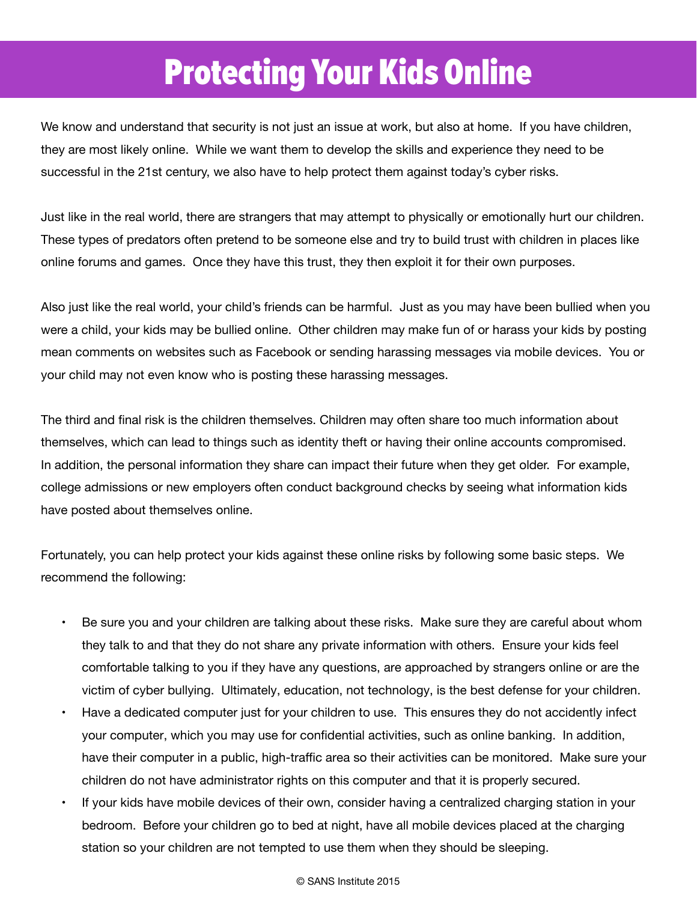## **Protecting Your Kids Online**

We know and understand that security is not just an issue at work, but also at home. If you have children, they are most likely online. While we want them to develop the skills and experience they need to be successful in the 21st century, we also have to help protect them against today's cyber risks.

Just like in the real world, there are strangers that may attempt to physically or emotionally hurt our children. These types of predators often pretend to be someone else and try to build trust with children in places like online forums and games. Once they have this trust, they then exploit it for their own purposes.

Also just like the real world, your child's friends can be harmful. Just as you may have been bullied when you were a child, your kids may be bullied online. Other children may make fun of or harass your kids by posting mean comments on websites such as Facebook or sending harassing messages via mobile devices. You or your child may not even know who is posting these harassing messages.

The third and final risk is the children themselves. Children may often share too much information about themselves, which can lead to things such as identity theft or having their online accounts compromised. In addition, the personal information they share can impact their future when they get older. For example, college admissions or new employers often conduct background checks by seeing what information kids have posted about themselves online.

Fortunately, you can help protect your kids against these online risks by following some basic steps. We recommend the following:

- Be sure you and your children are talking about these risks. Make sure they are careful about whom they talk to and that they do not share any private information with others. Ensure your kids feel comfortable talking to you if they have any questions, are approached by strangers online or are the victim of cyber bullying. Ultimately, education, not technology, is the best defense for your children.
- Have a dedicated computer just for your children to use. This ensures they do not accidently infect your computer, which you may use for confidential activities, such as online banking. In addition, have their computer in a public, high-traffic area so their activities can be monitored. Make sure your children do not have administrator rights on this computer and that it is properly secured.
- If your kids have mobile devices of their own, consider having a centralized charging station in your bedroom. Before your children go to bed at night, have all mobile devices placed at the charging station so your children are not tempted to use them when they should be sleeping.